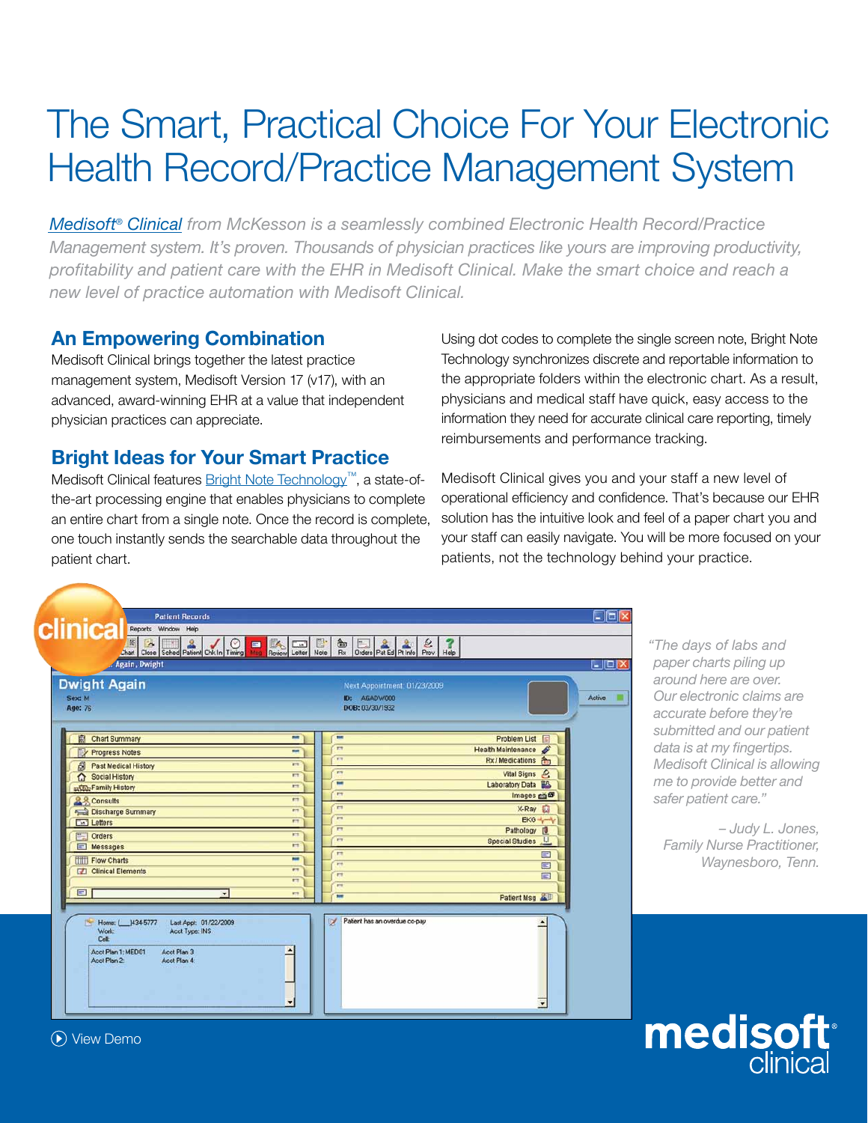## The Smart, Practical Choice For Your Electronic Health Record/Practice Management System

*[Medisoft® Clinical f](http://www.medisoft.com/MedisoftClinical/MedisoftClinical.aspx)rom McKesson is a seamlessly combined Electronic Health Record/Practice Management system. It's proven. Thousands of physician practices like yours are improving productivity, profitability and patient care with the EHR in Medisoft Clinical. Make the smart choice and reach a new level of practice automation with Medisoft Clinical.*

#### **An Empowering Combination**

Medisoft Clinical brings together the latest practice management system, Medisoft Version 17 (v17), with an advanced, award-winning EHR at a value that independent physician practices can appreciate.

### **Bright Ideas for Your Smart Practice**

Medisoft Clinical features **Bright Note Technology™**, a state-ofthe-art processing engine that enables physicians to complete an entire chart from a single note. Once the record is complete, one touch instantly sends the searchable data throughout the patient chart.

Using dot codes to complete the single screen note, Bright Note Technology synchronizes discrete and reportable information to the appropriate folders within the electronic chart. As a result, physicians and medical staff have quick, easy access to the information they need for accurate clinical care reporting, timely reimbursements and performance tracking.

Medisoft Clinical gives you and your staff a new level of operational efficiency and confidence. That's because our EHR solution has the intuitive look and feel of a paper chart you and your staff can easily navigate. You will be more focused on your patients, not the technology behind your practice.

| Again, Dwight                                                                                                                                               |                                                                       |                                                                 | $\lfloor - \square  \times$                                         |
|-------------------------------------------------------------------------------------------------------------------------------------------------------------|-----------------------------------------------------------------------|-----------------------------------------------------------------|---------------------------------------------------------------------|
| <b>Dwight Again</b><br>Sex: M<br>Age: 76                                                                                                                    |                                                                       | Next Appointment: 01/23/2009<br>ID: AGADW000<br>DOB: 03/30/1932 | <b>Active</b>                                                       |
| 扇<br><b>Chart Summary</b><br><b>Progress Notes</b>                                                                                                          | mir<br>$\overline{\phantom{a}}$<br>$r +$<br>m                         | Health Maintenance                                              | Problem List                                                        |
| £<br><b>Past Medical History</b><br>⇧<br><b>Social History</b><br>En Family History                                                                         | ET<br>$\overline{r}$<br>ET<br><b>FTE</b><br>$\equiv$<br>m             |                                                                 | Rx/Medications A<br>Vital Signs &<br>Laboratory Data <sup>8/3</sup> |
| & & Consults<br>Discharge Summary<br><b>Exil</b> Letters                                                                                                    | $r_{\rm T}$<br>m<br>$\mathbf{r}$<br>$\frac{1}{2}$<br>$r_{\rm T}$<br>m |                                                                 | Images co<br>X-Ray<br>EKG +                                         |
| Orders<br>Messages<br><b>TILL Flow Charts</b>                                                                                                               | $\mathbf{r}$<br>m<br><b>ET</b><br>E<br>m<br>m                         | <b>Special Studies</b>                                          | Pathology [9]<br>JU.<br>$\equiv$                                    |
| <b>Clinical Elements</b><br>曰                                                                                                                               | $r+$<br><b>PT</b><br>$r+$<br><b>PT</b><br>177<br><b>KT</b>            |                                                                 | $\Xi$<br>国                                                          |
| $\blacksquare$                                                                                                                                              | $\overline{\phantom{a}}$                                              |                                                                 | Patient Msg                                                         |
| 博<br>Home: 1434-5777<br>Last Appt. 01/22/2009<br><b>Work:</b><br>Acct Type: INS<br>Celt<br>Acct Plan 1: MED01<br>Acct Plan 3<br>Acct Plan 2<br>Acct Plan 4: | v                                                                     | Patient has an overdue co-pay                                   |                                                                     |

*"The days of labs and paper charts piling up around here are over. Our electronic claims are accurate before they're submitted and our patient data is at my fingertips. Medisoft Clinical is allowing me to provide better and safer patient care."*

*– Judy L. Jones, Family Nurse Practitioner, Waynesboro, Tenn.*



[View Demo](http://www.medisoft.com/Home/indexviewdemo.aspx)